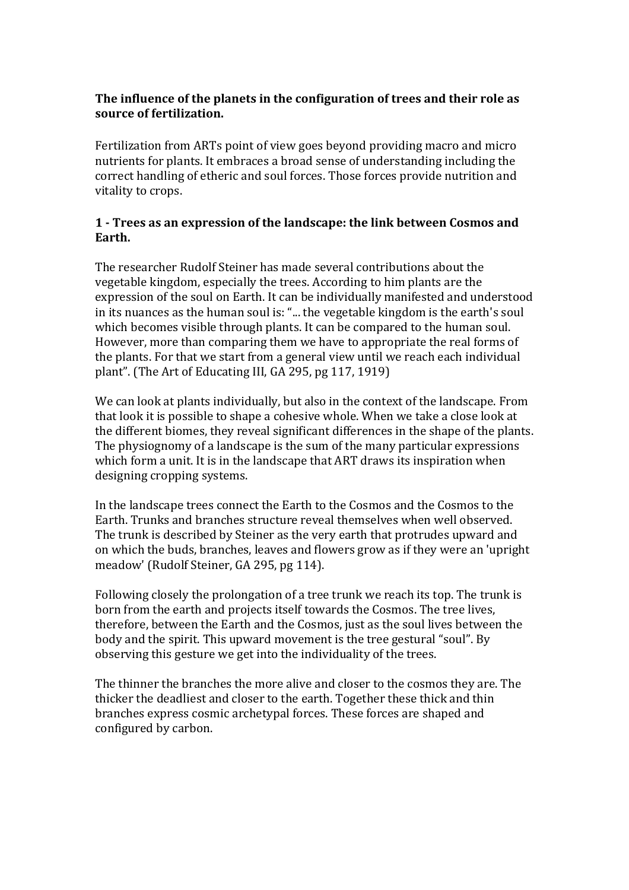### **The influence of the planets in the configuration of trees and their role as source of fertilization.**

Fertilization from ARTs point of view goes beyond providing macro and micro nutrients for plants. It embraces a broad sense of understanding including the correct handling of etheric and soul forces. Those forces provide nutrition and vitality to crops.

### **1 - Trees as an expression of the landscape: the link between Cosmos and Earth.**

The researcher Rudolf Steiner has made several contributions about the vegetable kingdom, especially the trees. According to him plants are the expression of the soul on Earth. It can be individually manifested and understood in its nuances as the human soul is: "... the vegetable kingdom is the earth's soul which becomes visible through plants. It can be compared to the human soul. However, more than comparing them we have to appropriate the real forms of the plants. For that we start from a general view until we reach each individual plant". (The Art of Educating III, GA 295, pg 117, 1919)

We can look at plants individually, but also in the context of the landscape. From that look it is possible to shape a cohesive whole. When we take a close look at the different biomes, they reveal significant differences in the shape of the plants. The physiognomy of a landscape is the sum of the many particular expressions which form a unit. It is in the landscape that ART draws its inspiration when designing cropping systems.

In the landscape trees connect the Earth to the Cosmos and the Cosmos to the Earth. Trunks and branches structure reveal themselves when well observed. The trunk is described by Steiner as the very earth that protrudes upward and on which the buds, branches, leaves and flowers grow as if they were an 'upright meadow' (Rudolf Steiner, GA 295, pg 114).

Following closely the prolongation of a tree trunk we reach its top. The trunk is born from the earth and projects itself towards the Cosmos. The tree lives, therefore, between the Earth and the Cosmos, just as the soul lives between the body and the spirit. This upward movement is the tree gestural "soul". By observing this gesture we get into the individuality of the trees.

The thinner the branches the more alive and closer to the cosmos they are. The thicker the deadliest and closer to the earth. Together these thick and thin branches express cosmic archetypal forces. These forces are shaped and configured by carbon.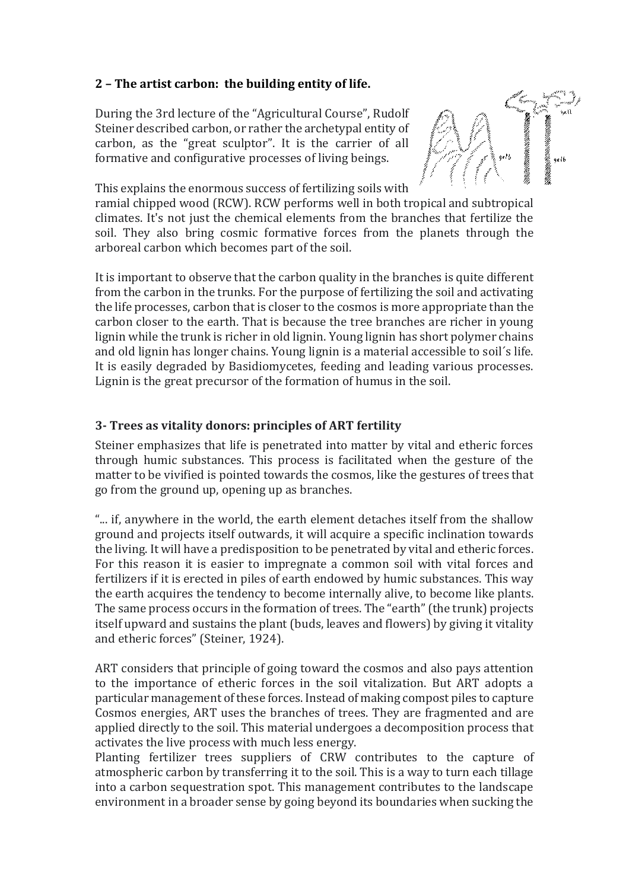# **2 – The artist carbon: the building entity of life.**

During the 3rd lecture of the "Agricultural Course", Rudolf Steiner described carbon, or rather the archetypal entity of carbon, as the "great sculptor". It is the carrier of all formative and configurative processes of living beings.



This explains the enormous success of fertilizing soils with ramial chipped wood (RCW). RCW performs well in both tropical and subtropical climates. It's not just the chemical elements from the branches that fertilize the soil. They also bring cosmic formative forces from the planets through the arboreal carbon which becomes part of the soil.

It is important to observe that the carbon quality in the branches is quite different from the carbon in the trunks. For the purpose of fertilizing the soil and activating the life processes, carbon that is closer to the cosmos is more appropriate than the carbon closer to the earth. That is because the tree branches are richer in young lignin while the trunk is richer in old lignin. Young lignin has short polymer chains and old lignin has longer chains. Young lignin is a material accessible to soil´s life. It is easily degraded by Basidiomycetes, feeding and leading various processes. Lignin is the great precursor of the formation of humus in the soil.

# **3- Trees as vitality donors: principles of ART fertility**

Steiner emphasizes that life is penetrated into matter by vital and etheric forces through humic substances. This process is facilitated when the gesture of the matter to be vivified is pointed towards the cosmos, like the gestures of trees that go from the ground up, opening up as branches.

"... if, anywhere in the world, the earth element detaches itself from the shallow ground and projects itself outwards, it will acquire a specific inclination towards the living. It will have a predisposition to be penetrated by vital and etheric forces. For this reason it is easier to impregnate a common soil with vital forces and fertilizers if it is erected in piles of earth endowed by humic substances. This way the earth acquires the tendency to become internally alive, to become like plants. The same process occurs in the formation of trees. The "earth" (the trunk) projects itself upward and sustains the plant (buds, leaves and flowers) by giving it vitality and etheric forces" (Steiner, 1924).

ART considers that principle of going toward the cosmos and also pays attention to the importance of etheric forces in the soil vitalization. But ART adopts a particular management of these forces. Instead of making compost piles to capture Cosmos energies, ART uses the branches of trees. They are fragmented and are applied directly to the soil. This material undergoes a decomposition process that activates the live process with much less energy.

Planting fertilizer trees suppliers of CRW contributes to the capture of atmospheric carbon by transferring it to the soil. This is a way to turn each tillage into a carbon sequestration spot. This management contributes to the landscape environment in a broader sense by going beyond its boundaries when sucking the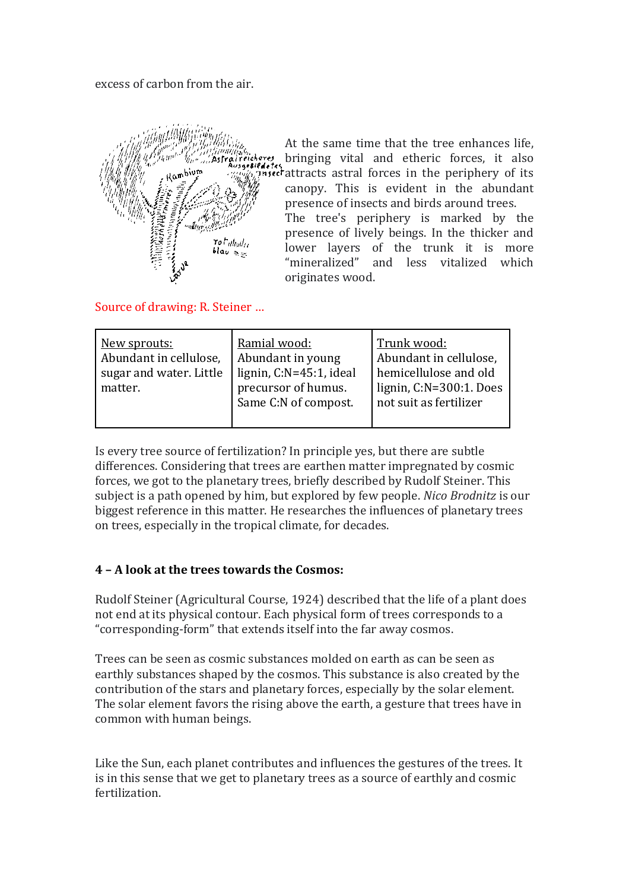#### excess of carbon from the air.



At the same time that the tree enhances life, bringing vital and etheric forces, it also  $\overline{a}$ <sup>th seef</sup> attracts astral forces in the periphery of its canopy. This is evident in the abundant presence of insects and birds around trees. The tree's periphery is marked by the

presence of lively beings. In the thicker and lower layers of the trunk it is more "mineralized" and less vitalized which originates wood.

### Source of drawing: R. Steiner …

| New sprouts:<br>Abundant in cellulose,<br>sugar and water. Little<br>matter. | Ramial wood:<br>Abundant in young<br>lignin, C:N=45:1, ideal<br>precursor of humus.<br>Same C:N of compost. | Trunk wood:<br>Abundant in cellulose,<br>hemicellulose and old<br>lignin, C:N=300:1. Does<br>not suit as fertilizer |
|------------------------------------------------------------------------------|-------------------------------------------------------------------------------------------------------------|---------------------------------------------------------------------------------------------------------------------|
|                                                                              |                                                                                                             |                                                                                                                     |

Is every tree source of fertilization? In principle yes, but there are subtle differences. Considering that trees are earthen matter impregnated by cosmic forces, we got to the planetary trees, briefly described by Rudolf Steiner. This subject is a path opened by him, but explored by few people. *Nico Brodnitz* is our biggest reference in this matter. He researches the influences of planetary trees on trees, especially in the tropical climate, for decades.

# **4 – A look at the trees towards the Cosmos:**

Rudolf Steiner (Agricultural Course, 1924) described that the life of a plant does not end at its physical contour. Each physical form of trees corresponds to a "corresponding-form" that extends itself into the far away cosmos.

Trees can be seen as cosmic substances molded on earth as can be seen as earthly substances shaped by the cosmos. This substance is also created by the contribution of the stars and planetary forces, especially by the solar element. The solar element favors the rising above the earth, a gesture that trees have in common with human beings.

Like the Sun, each planet contributes and influences the gestures of the trees. It is in this sense that we get to planetary trees as a source of earthly and cosmic fertilization.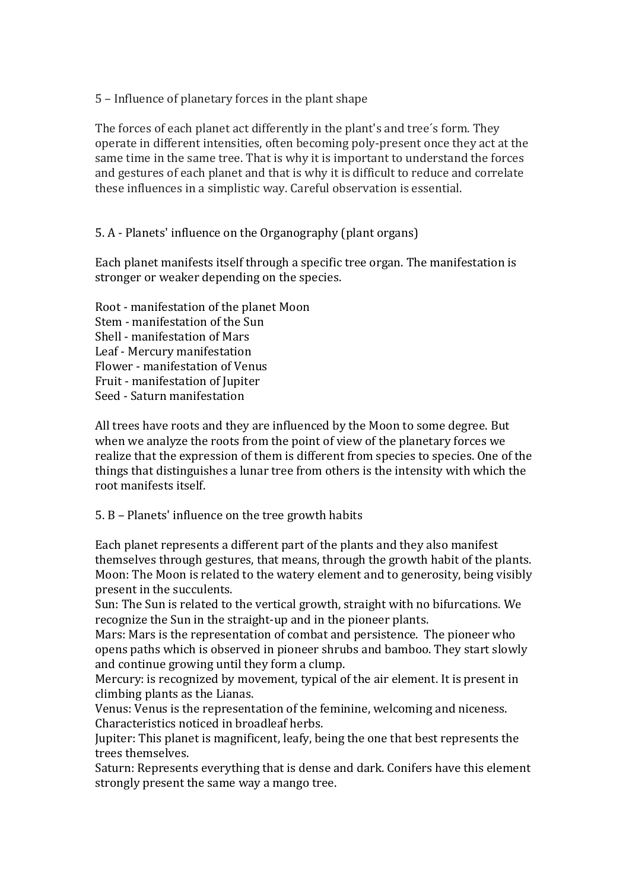5 – Influence of planetary forces in the plant shape

The forces of each planet act differently in the plant's and tree´s form. They operate in different intensities, often becoming poly-present once they act at the same time in the same tree. That is why it is important to understand the forces and gestures of each planet and that is why it is difficult to reduce and correlate these influences in a simplistic way. Careful observation is essential.

5. A - Planets' influence on the Organography (plant organs)

Each planet manifests itself through a specific tree organ. The manifestation is stronger or weaker depending on the species.

Root - manifestation of the planet Moon Stem - manifestation of the Sun Shell - manifestation of Mars Leaf - Mercury manifestation Flower - manifestation of Venus Fruit - manifestation of Jupiter Seed - Saturn manifestation

All trees have roots and they are influenced by the Moon to some degree. But when we analyze the roots from the point of view of the planetary forces we realize that the expression of them is different from species to species. One of the things that distinguishes a lunar tree from others is the intensity with which the root manifests itself.

5. B – Planets' influence on the tree growth habits

Each planet represents a different part of the plants and they also manifest themselves through gestures, that means, through the growth habit of the plants. Moon: The Moon is related to the watery element and to generosity, being visibly present in the succulents.

Sun: The Sun is related to the vertical growth, straight with no bifurcations. We recognize the Sun in the straight-up and in the pioneer plants.

Mars: Mars is the representation of combat and persistence. The pioneer who opens paths which is observed in pioneer shrubs and bamboo. They start slowly and continue growing until they form a clump.

Mercury: is recognized by movement, typical of the air element. It is present in climbing plants as the Lianas.

Venus: Venus is the representation of the feminine, welcoming and niceness. Characteristics noticed in broadleaf herbs.

Jupiter: This planet is magnificent, leafy, being the one that best represents the trees themselves.

Saturn: Represents everything that is dense and dark. Conifers have this element strongly present the same way a mango tree.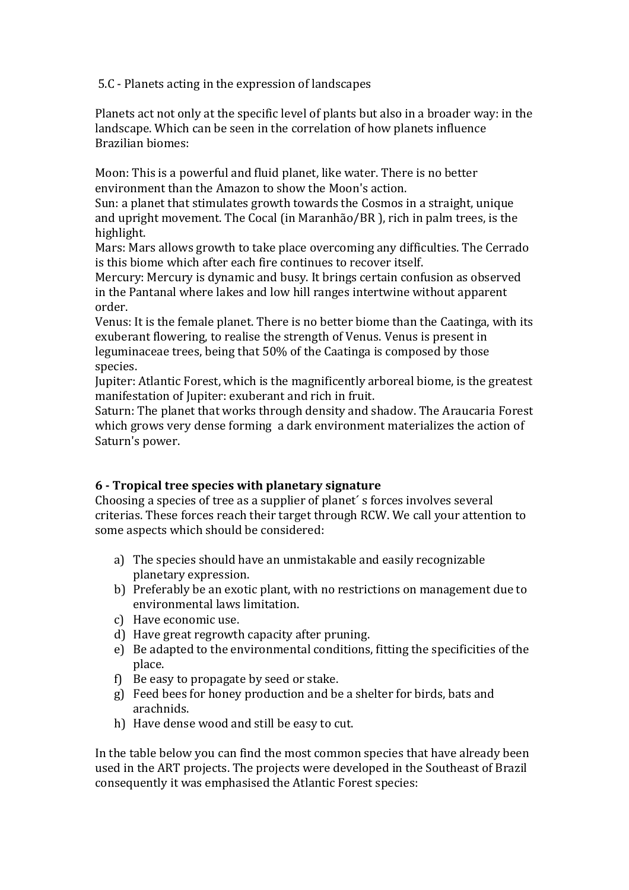5.C - Planets acting in the expression of landscapes

Planets act not only at the specific level of plants but also in a broader way: in the landscape. Which can be seen in the correlation of how planets influence Brazilian biomes:

Moon: This is a powerful and fluid planet, like water. There is no better environment than the Amazon to show the Moon's action.

Sun: a planet that stimulates growth towards the Cosmos in a straight, unique and upright movement. The Cocal (in Maranhão/BR ), rich in palm trees, is the highlight.

Mars: Mars allows growth to take place overcoming any difficulties. The Cerrado is this biome which after each fire continues to recover itself.

Mercury: Mercury is dynamic and busy. It brings certain confusion as observed in the Pantanal where lakes and low hill ranges intertwine without apparent order.

Venus: It is the female planet. There is no better biome than the Caatinga, with its exuberant flowering, to realise the strength of Venus. Venus is present in leguminaceae trees, being that 50% of the Caatinga is composed by those species.

Jupiter: Atlantic Forest, which is the magnificently arboreal biome, is the greatest manifestation of Jupiter: exuberant and rich in fruit.

Saturn: The planet that works through density and shadow. The Araucaria Forest which grows very dense forming a dark environment materializes the action of Saturn's power.

# **6 - Tropical tree species with planetary signature**

Choosing a species of tree as a supplier of planet´ s forces involves several criterias. These forces reach their target through RCW. We call your attention to some aspects which should be considered:

- a) The species should have an unmistakable and easily recognizable planetary expression.
- b) Preferably be an exotic plant, with no restrictions on management due to environmental laws limitation.
- c) Have economic use.
- d) Have great regrowth capacity after pruning.
- e) Be adapted to the environmental conditions, fitting the specificities of the place.
- f) Be easy to propagate by seed or stake.
- g) Feed bees for honey production and be a shelter for birds, bats and arachnids.
- h) Have dense wood and still be easy to cut.

In the table below you can find the most common species that have already been used in the ART projects. The projects were developed in the Southeast of Brazil consequently it was emphasised the Atlantic Forest species: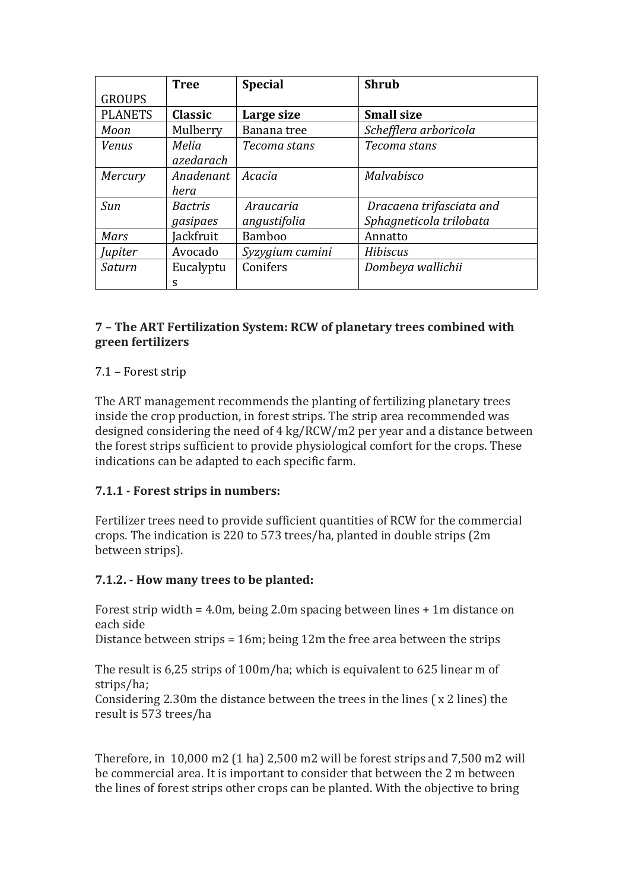|                | <b>Tree</b>        | <b>Special</b>  | <b>Shrub</b>             |
|----------------|--------------------|-----------------|--------------------------|
| <b>GROUPS</b>  |                    |                 |                          |
| <b>PLANETS</b> | <b>Classic</b>     | Large size      | <b>Small size</b>        |
| Moon           | Mulberry           | Banana tree     | Schefflera arboricola    |
| <b>Venus</b>   | Melia<br>azedarach | Tecoma stans    | Tecoma stans             |
| Mercury        | Anadenant          | Acacia          | Malvabisco               |
|                | hera               |                 |                          |
| Sun            | <i>Bactris</i>     | Araucaria       | Dracaena trifasciata and |
|                | gasipaes           | angustifolia    | Sphagneticola trilobata  |
| Mars           | ackfruit           | <b>Bamboo</b>   | Annatto                  |
| Jupiter        | Avocado            | Syzygium cumini | <b>Hibiscus</b>          |
| Saturn         | Eucalyptu          | Conifers        | Dombeya wallichii        |
|                | S                  |                 |                          |

# **7 – The ART Fertilization System: RCW of planetary trees combined with green fertilizers**

### 7.1 – Forest strip

The ART management recommends the planting of fertilizing planetary trees inside the crop production, in forest strips. The strip area recommended was designed considering the need of 4 kg/RCW/m2 per year and a distance between the forest strips sufficient to provide physiological comfort for the crops. These indications can be adapted to each specific farm.

### **7.1.1 - Forest strips in numbers:**

Fertilizer trees need to provide sufficient quantities of RCW for the commercial crops. The indication is 220 to 573 trees/ha, planted in double strips (2m between strips).

### **7.1.2. - How many trees to be planted:**

Forest strip width = 4.0m, being 2.0m spacing between lines + 1m distance on each side

Distance between strips = 16m; being 12m the free area between the strips

The result is 6,25 strips of 100m/ha; which is equivalent to 625 linear m of strips/ha;

Considering 2.30m the distance between the trees in the lines ( x 2 lines) the result is 573 trees/ha

Therefore, in 10,000 m2 (1 ha) 2,500 m2 will be forest strips and 7,500 m2 will be commercial area. It is important to consider that between the 2 m between the lines of forest strips other crops can be planted. With the objective to bring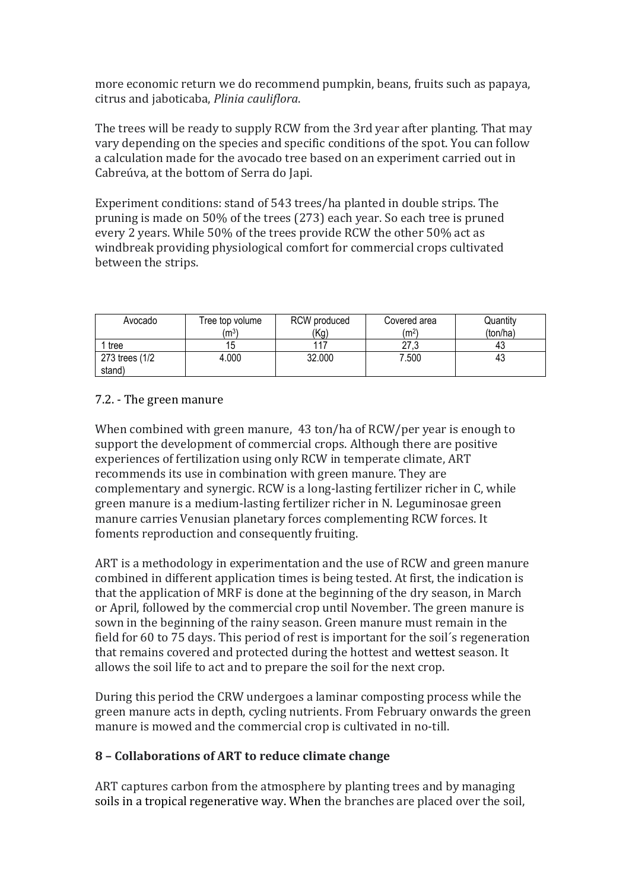more economic return we do recommend pumpkin, beans, fruits such as papaya, citrus and jaboticaba, *Plinia cauliflora*.

The trees will be ready to supply RCW from the 3rd year after planting. That may vary depending on the species and specific conditions of the spot. You can follow a calculation made for the avocado tree based on an experiment carried out in Cabreúva, at the bottom of Serra do Japi.

Experiment conditions: stand of 543 trees/ha planted in double strips. The pruning is made on 50% of the trees (273) each year. So each tree is pruned every 2 years. While 50% of the trees provide RCW the other 50% act as windbreak providing physiological comfort for commercial crops cultivated between the strips.

| Avocado        | Tree top volume<br>(m <sup>3</sup> ) | RCW produced<br>(Kg) | Covered area<br>(m <sup>2</sup> ) | Quantity<br>(ton/ha) |
|----------------|--------------------------------------|----------------------|-----------------------------------|----------------------|
| tree           | 15                                   |                      | 27,3                              | 43                   |
| 273 trees (1/2 | 4.000                                | 32.000               | 7.500                             | 43                   |
| stand)         |                                      |                      |                                   |                      |

### 7.2. - The green manure

When combined with green manure, 43 ton/ha of RCW/per year is enough to support the development of commercial crops. Although there are positive experiences of fertilization using only RCW in temperate climate, ART recommends its use in combination with green manure. They are complementary and synergic. RCW is a long-lasting fertilizer richer in C, while green manure is a medium-lasting fertilizer richer in N. Leguminosae green manure carries Venusian planetary forces complementing RCW forces. It foments reproduction and consequently fruiting.

ART is a methodology in experimentation and the use of RCW and green manure combined in different application times is being tested. At first, the indication is that the application of MRF is done at the beginning of the dry season, in March or April, followed by the commercial crop until November. The green manure is sown in the beginning of the rainy season. Green manure must remain in the field for 60 to 75 days. This period of rest is important for the soil´s regeneration that remains covered and protected during the hottest and wettest season. It allows the soil life to act and to prepare the soil for the next crop.

During this period the CRW undergoes a laminar composting process while the green manure acts in depth, cycling nutrients. From February onwards the green manure is mowed and the commercial crop is cultivated in no-till.

### **8 – Collaborations of ART to reduce climate change**

ART captures carbon from the atmosphere by planting trees and by managing soils in a tropical regenerative way. When the branches are placed over the soil,